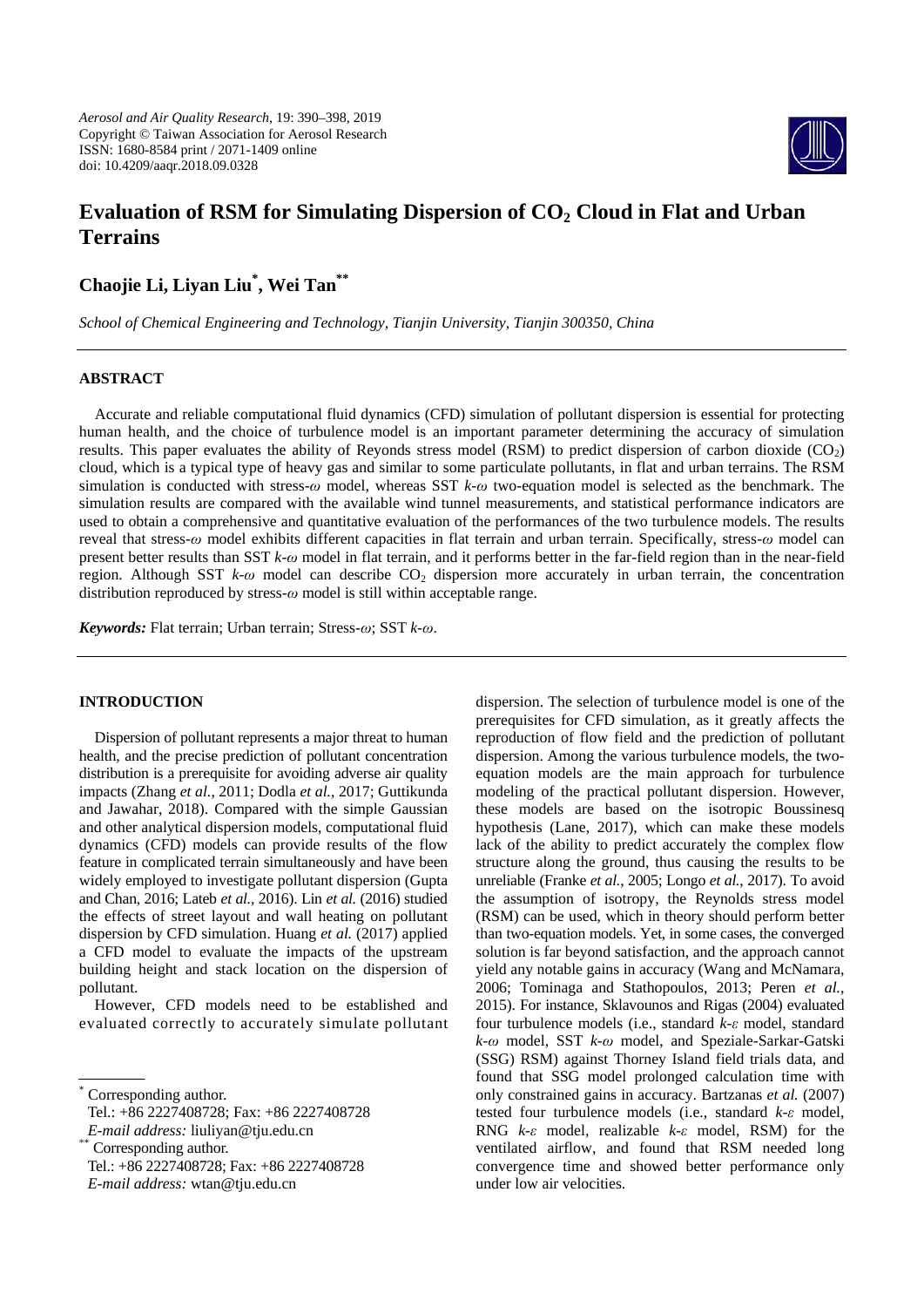*Aerosol and Air Quality Research*, 19: 390–398, 2019 Copyright © Taiwan Association for Aerosol Research ISSN: 1680-8584 print / 2071-1409 online doi: 10.4209/aaqr.2018.09.0328



# **Evaluation of RSM for Simulating Dispersion of CO<sub>2</sub> Cloud in Flat and Urban Terrains**

# **Chaojie Li, Liyan Liu\* , Wei Tan\*\***

*School of Chemical Engineering and Technology, Tianjin University, Tianjin 300350, China*

# **ABSTRACT**

Accurate and reliable computational fluid dynamics (CFD) simulation of pollutant dispersion is essential for protecting human health, and the choice of turbulence model is an important parameter determining the accuracy of simulation results. This paper evaluates the ability of Reyonds stress model (RSM) to predict dispersion of carbon dioxide  $(CO<sub>2</sub>)$ cloud, which is a typical type of heavy gas and similar to some particulate pollutants, in flat and urban terrains. The RSM simulation is conducted with stress-*ω* model, whereas SST *k*-*ω* two-equation model is selected as the benchmark. The simulation results are compared with the available wind tunnel measurements, and statistical performance indicators are used to obtain a comprehensive and quantitative evaluation of the performances of the two turbulence models. The results reveal that stress-*ω* model exhibits different capacities in flat terrain and urban terrain. Specifically, stress-*ω* model can present better results than SST *k*-*ω* model in flat terrain, and it performs better in the far-field region than in the near-field region. Although SST *k-ω* model can describe CO<sub>2</sub> dispersion more accurately in urban terrain, the concentration distribution reproduced by stress-*ω* model is still within acceptable range.

*Keywords:* Flat terrain; Urban terrain; Stress-*ω*; SST *k*-*ω*.

# **INTRODUCTION**

Dispersion of pollutant represents a major threat to human health, and the precise prediction of pollutant concentration distribution is a prerequisite for avoiding adverse air quality impacts (Zhang *et al.*, 2011; Dodla *et al.*, 2017; Guttikunda and Jawahar, 2018). Compared with the simple Gaussian and other analytical dispersion models, computational fluid dynamics (CFD) models can provide results of the flow feature in complicated terrain simultaneously and have been widely employed to investigate pollutant dispersion (Gupta and Chan, 2016; Lateb *et al.*, 2016). Lin *et al.* (2016) studied the effects of street layout and wall heating on pollutant dispersion by CFD simulation. Huang *et al.* (2017) applied a CFD model to evaluate the impacts of the upstream building height and stack location on the dispersion of pollutant.

However, CFD models need to be established and evaluated correctly to accurately simulate pollutant

dispersion. The selection of turbulence model is one of the prerequisites for CFD simulation, as it greatly affects the reproduction of flow field and the prediction of pollutant dispersion. Among the various turbulence models, the twoequation models are the main approach for turbulence modeling of the practical pollutant dispersion. However, these models are based on the isotropic Boussinesq hypothesis (Lane, 2017), which can make these models lack of the ability to predict accurately the complex flow structure along the ground, thus causing the results to be unreliable (Franke *et al.*, 2005; Longo *et al.*, 2017). To avoid the assumption of isotropy, the Reynolds stress model (RSM) can be used, which in theory should perform better than two-equation models. Yet, in some cases, the converged solution is far beyond satisfaction, and the approach cannot yield any notable gains in accuracy (Wang and McNamara, 2006; Tominaga and Stathopoulos, 2013; Peren *et al.*, 2015). For instance, Sklavounos and Rigas (2004) evaluated four turbulence models (i.e., standard *k*-*ε* model, standard *k*-*ω* model, SST *k*-*ω* model, and Speziale-Sarkar-Gatski (SSG) RSM) against Thorney Island field trials data, and found that SSG model prolonged calculation time with only constrained gains in accuracy. Bartzanas *et al.* (2007) tested four turbulence models (i.e., standard *k*-*ε* model, RNG *k*-*ε* model, realizable *k*-*ε* model, RSM) for the ventilated airflow, and found that RSM needed long convergence time and showed better performance only under low air velocities.

Corresponding author.

Tel.: +86 2227408728; Fax: +86 2227408728

*E-mail address: liuliyan@tju.edu.cn*<br>\* Corresponding author.

Tel.: +86 2227408728; Fax: +86 2227408728

*E-mail address:* wtan@tju.edu.cn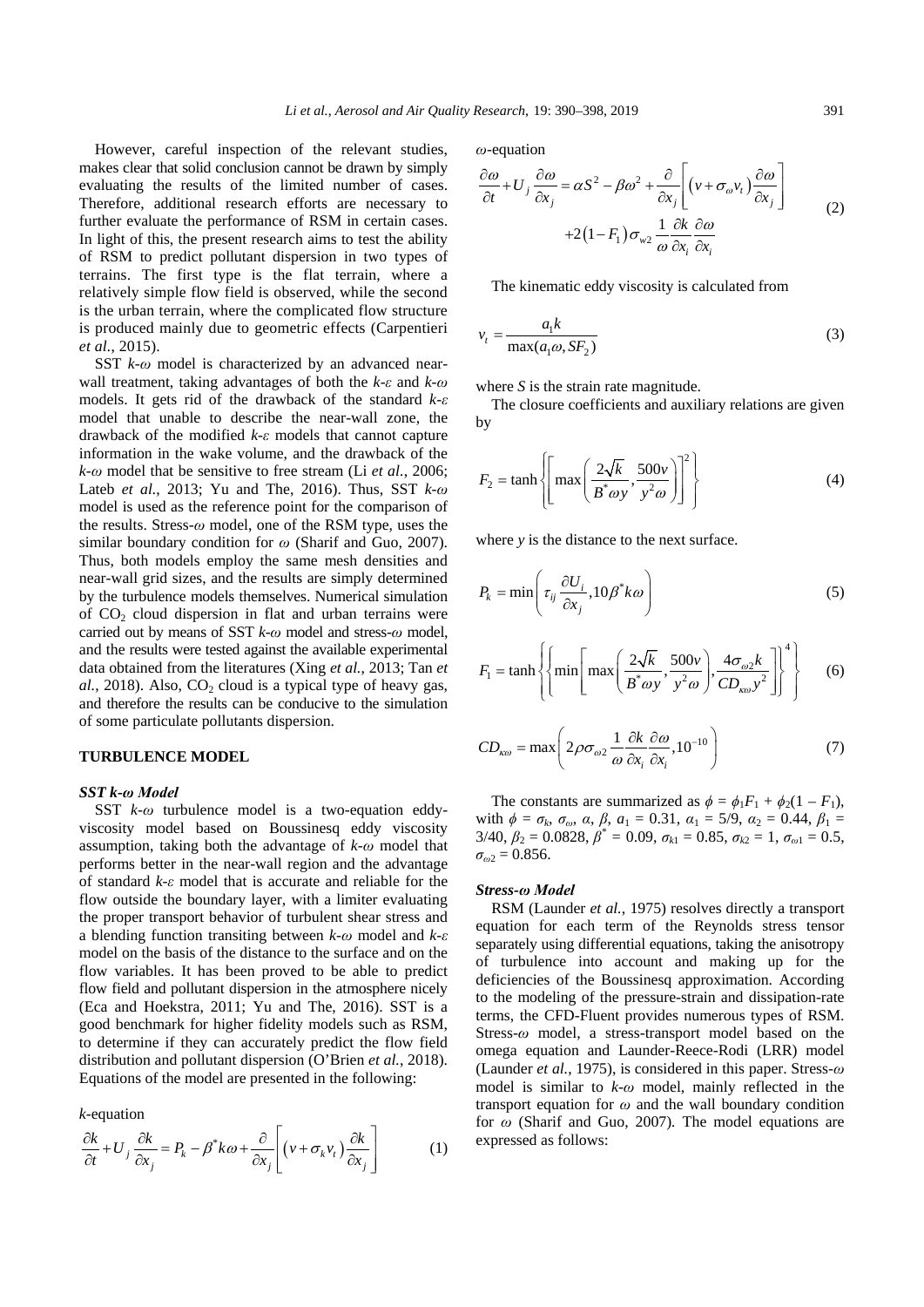However, careful inspection of the relevant studies, makes clear that solid conclusion cannot be drawn by simply evaluating the results of the limited number of cases. Therefore, additional research efforts are necessary to further evaluate the performance of RSM in certain cases. In light of this, the present research aims to test the ability of RSM to predict pollutant dispersion in two types of terrains. The first type is the flat terrain, where a relatively simple flow field is observed, while the second is the urban terrain, where the complicated flow structure is produced mainly due to geometric effects (Carpentieri *et al.*, 2015).

SST *k*-*ω* model is characterized by an advanced nearwall treatment, taking advantages of both the *k*-*ε* and *k*-*ω* models. It gets rid of the drawback of the standard *k*-*ε* model that unable to describe the near-wall zone, the drawback of the modified *k*-*ε* models that cannot capture information in the wake volume, and the drawback of the *k*-*ω* model that be sensitive to free stream (Li *et al.*, 2006; Lateb *et al.*, 2013; Yu and The, 2016). Thus, SST *k*-*ω* model is used as the reference point for the comparison of the results. Stress-*ω* model, one of the RSM type, uses the similar boundary condition for *ω* (Sharif and Guo, 2007). Thus, both models employ the same mesh densities and near-wall grid sizes, and the results are simply determined by the turbulence models themselves. Numerical simulation of  $CO<sub>2</sub>$  cloud dispersion in flat and urban terrains were carried out by means of SST *k*-*ω* model and stress-*ω* model, and the results were tested against the available experimental data obtained from the literatures (Xing *et al.*, 2013; Tan *et*   $al.$ , 2018). Also,  $CO<sub>2</sub>$  cloud is a typical type of heavy gas, and therefore the results can be conducive to the simulation of some particulate pollutants dispersion.

#### **TURBULENCE MODEL**

#### *SST k-ω Model*

SST *k*-*ω* turbulence model is a two-equation eddyviscosity model based on Boussinesq eddy viscosity assumption, taking both the advantage of *k*-*ω* model that performs better in the near-wall region and the advantage of standard *k*-*ε* model that is accurate and reliable for the flow outside the boundary layer, with a limiter evaluating the proper transport behavior of turbulent shear stress and a blending function transiting between *k*-*ω* model and *k*-*ε* model on the basis of the distance to the surface and on the flow variables. It has been proved to be able to predict flow field and pollutant dispersion in the atmosphere nicely (Eca and Hoekstra, 2011; Yu and The, 2016). SST is a good benchmark for higher fidelity models such as RSM, to determine if they can accurately predict the flow field distribution and pollutant dispersion (O'Brien *et al.*, 2018). Equations of the model are presented in the following:

*k*-equation

$$
\frac{\partial k}{\partial t} + U_j \frac{\partial k}{\partial x_j} = P_k - \beta^* k \omega + \frac{\partial}{\partial x_j} \left[ \left( v + \sigma_k v_t \right) \frac{\partial k}{\partial x_j} \right] \tag{1}
$$

*ω*-equation

$$
\frac{\partial \omega}{\partial t} + U_j \frac{\partial \omega}{\partial x_j} = \alpha S^2 - \beta \omega^2 + \frac{\partial}{\partial x_j} \left[ \left( v + \sigma_\omega v_t \right) \frac{\partial \omega}{\partial x_j} \right] + 2 \left( 1 - F_1 \right) \sigma_{w2} \frac{1}{\omega} \frac{\partial k}{\partial x_i} \frac{\partial \omega}{\partial x_i}
$$
\n(2)

The kinematic eddy viscosity is calculated from

$$
v_t = \frac{a_1 k}{\max(a_1 \omega, S F_2)}\tag{3}
$$

where *S* is the strain rate magnitude.

The closure coefficients and auxiliary relations are given by

$$
F_2 = \tanh\left\{ \left[ \max\left( \frac{2\sqrt{k}}{B^* \omega y}, \frac{500\nu}{y^2 \omega} \right) \right]^2 \right\}
$$
 (4)

where *y* is the distance to the next surface.

$$
P_k = \min\left(\tau_{ij} \frac{\partial U_i}{\partial x_j}, 10\beta^* k\omega\right)
$$
 (5)

$$
F_1 = \tanh\left\{ \left\{ \min\left[ \max\left( \frac{2\sqrt{k}}{B^* \omega y}, \frac{500\nu}{y^2 \omega} \right), \frac{4\sigma_{\omega 2} k}{CD_{\kappa \omega} y^2} \right] \right\}^4 \right\}
$$
 (6)

$$
CD_{\kappa\omega} = \max\left(2\rho\sigma_{\omega 2}\frac{1}{\omega}\frac{\partial k}{\partial x_i}\frac{\partial \omega}{\partial x_i}, 10^{-10}\right) \tag{7}
$$

The constants are summarized as  $\phi = \phi_1 F_1 + \phi_2 (1 - F_1)$ , with *ϕ* = *σk*, *σω*, *α*, *β*, *a*<sup>1</sup> = 0.31, *α*<sup>1</sup> = 5/9, *α*<sup>2</sup> = 0.44, *β*<sup>1</sup> = 3/40,  $\beta_2 = 0.0828$ ,  $\beta^* = 0.09$ ,  $\sigma_{k1} = 0.85$ ,  $\sigma_{k2} = 1$ ,  $\sigma_{\omega_1} = 0.5$ ,  $\sigma_{\omega^2} = 0.856$ .

#### *Stress-ω Model*

RSM (Launder *et al.*, 1975) resolves directly a transport equation for each term of the Reynolds stress tensor separately using differential equations, taking the anisotropy of turbulence into account and making up for the deficiencies of the Boussinesq approximation. According to the modeling of the pressure-strain and dissipation-rate terms, the CFD-Fluent provides numerous types of RSM. Stress-*ω* model, a stress-transport model based on the omega equation and Launder-Reece-Rodi (LRR) model (Launder *et al.*, 1975), is considered in this paper. Stress-*ω* model is similar to *k*-*ω* model, mainly reflected in the transport equation for *ω* and the wall boundary condition for *ω* (Sharif and Guo, 2007)*.* The model equations are expressed as follows: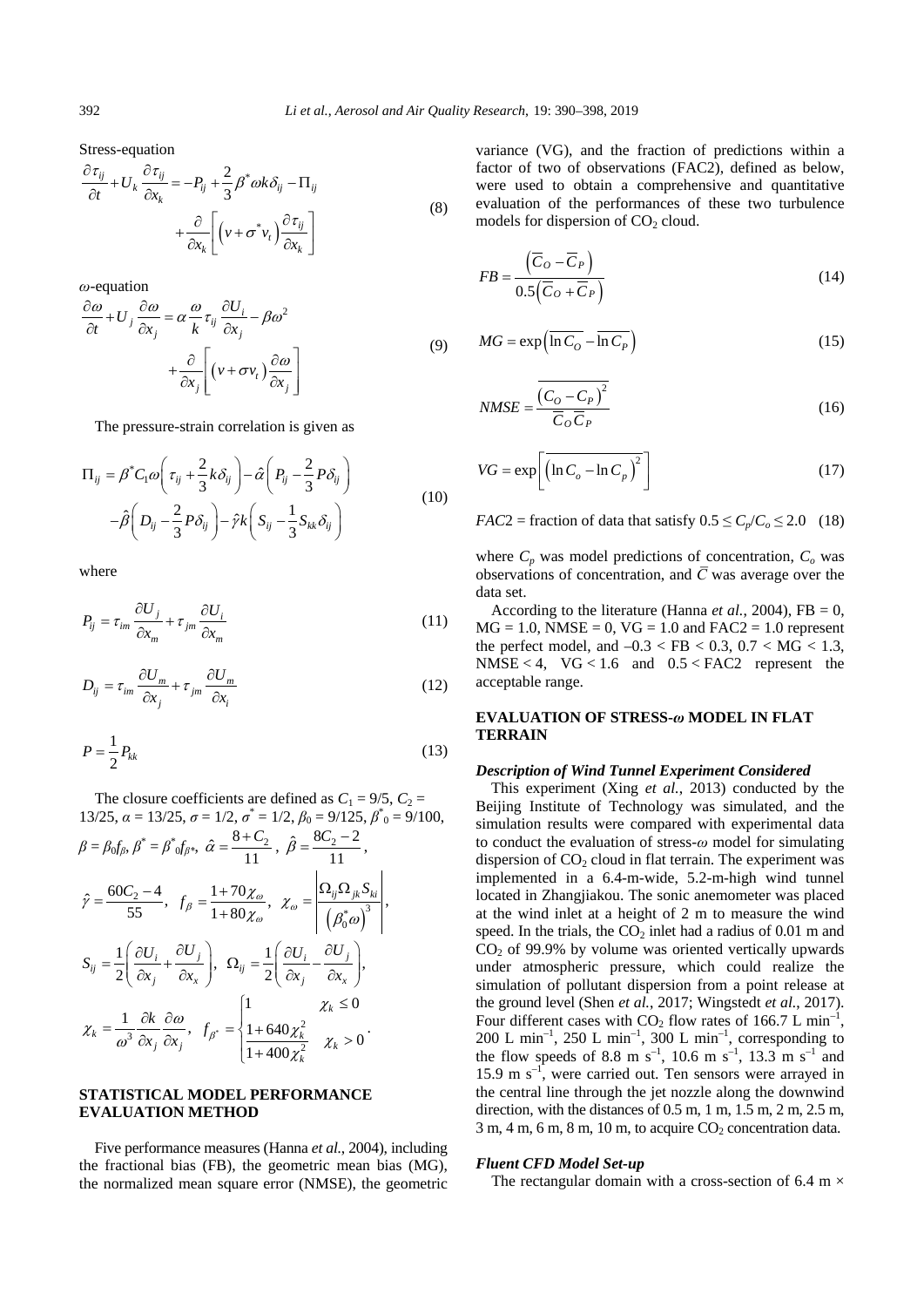Stress-equation

$$
\frac{\partial \tau_{ij}}{\partial t} + U_k \frac{\partial \tau_{ij}}{\partial x_k} = -P_{ij} + \frac{2}{3} \beta^* \omega k \delta_{ij} - \Pi_{ij} + \frac{\partial}{\partial x_k} \left[ \left( v + \sigma^* v_t \right) \frac{\partial \tau_{ij}}{\partial x_k} \right]
$$
\n(8)

*ω*-equation

$$
\frac{\partial \omega}{\partial t} + U_j \frac{\partial \omega}{\partial x_j} = \alpha \frac{\omega}{k} \tau_{ij} \frac{\partial U_i}{\partial x_j} - \beta \omega^2
$$

$$
+ \frac{\partial}{\partial x_j} \left[ \left( v + \sigma v_t \right) \frac{\partial \omega}{\partial x_j} \right]
$$
(9)

The pressure-strain correlation is given as

$$
\Pi_{ij} = \beta^* C_1 \omega \left( \tau_{ij} + \frac{2}{3} k \delta_{ij} \right) - \hat{\alpha} \left( P_{ij} - \frac{2}{3} P \delta_{ij} \right)
$$

$$
- \hat{\beta} \left( D_{ij} - \frac{2}{3} P \delta_{ij} \right) - \hat{\gamma} k \left( S_{ij} - \frac{1}{3} S_{kk} \delta_{ij} \right)
$$
(10)

where

$$
P_{ij} = \tau_{im} \frac{\partial U_j}{\partial x_m} + \tau_{jm} \frac{\partial U_i}{\partial x_m}
$$
 (11)

$$
D_{ij} = \tau_{im} \frac{\partial U_m}{\partial x_j} + \tau_{jm} \frac{\partial U_m}{\partial x_i}
$$
 (12)

$$
P = \frac{1}{2} P_{kk} \tag{13}
$$

The closure coefficients are defined as  $C_1 = 9/5$ ,  $C_2 =$ 13/25,  $\alpha = 13/25$ ,  $\sigma = 1/2$ ,  $\sigma^* = 1/2$ ,  $\beta_0 = 9/125$ ,  $\beta^*_{0} = 9/100$ ,

$$
\beta = \beta_0 f_\beta, \ \beta^* = \beta^* \delta f_\beta^*, \ \hat{\alpha} = \frac{8 + C_2}{11}, \ \hat{\beta} = \frac{8C_2 - 2}{11},
$$
\n
$$
\hat{\gamma} = \frac{60C_2 - 4}{55}, \ \ f_\beta = \frac{1 + 70\chi_\omega}{1 + 80\chi_\omega}, \ \ \chi_\omega = \left| \frac{\Omega_{ij}\Omega_{jk}S_{ki}}{\left(\beta_0^*\omega\right)^3} \right|,
$$
\n
$$
S_{ij} = \frac{1}{2} \left( \frac{\partial U_i}{\partial x_j} + \frac{\partial U_j}{\partial x_x} \right), \ \ \Omega_{ij} = \frac{1}{2} \left( \frac{\partial U_i}{\partial x_j} - \frac{\partial U_j}{\partial x_x} \right),
$$
\n
$$
\chi_k = \frac{1}{\omega^3} \frac{\partial k}{\partial x_j} \frac{\partial \omega}{\partial x_j}, \ \ f_{\beta^*} = \begin{cases} 1 & \text{if } \chi_k \le 0 \\ \frac{1 + 640\chi_k^2}{1 + 400\chi_k^2} & \chi_k > 0 \end{cases}
$$

# **STATISTICAL MODEL PERFORMANCE EVALUATION METHOD**

Five performance measures (Hanna *et al.*, 2004), including the fractional bias (FB), the geometric mean bias (MG), the normalized mean square error (NMSE), the geometric

variance (VG), and the fraction of predictions within a factor of two of observations (FAC2), defined as below, were used to obtain a comprehensive and quantitative evaluation of the performances of these two turbulence models for dispersion of  $CO<sub>2</sub>$  cloud.

$$
FB = \frac{\left(\overline{C}_O - \overline{C}_P\right)}{0.5\left(\overline{C}_O + \overline{C}_P\right)}
$$
(14)

$$
MG = \exp\left(\overline{\ln C_o} - \overline{\ln C_p}\right) \tag{15}
$$

$$
NMSE = \frac{\overline{(C_O - C_P)^2}}{\overline{C}_O \overline{C}_P}
$$
 (16)

$$
VG = \exp\left[\left(\ln C_o - \ln C_p\right)^2\right]
$$
 (17)

*FAC*2 = fraction of data that satisfy  $0.5 \leq C_p/C_o \leq 2.0$  (18)

where  $C_p$  was model predictions of concentration,  $C_o$  was observations of concentration, and  $\overline{C}$  was average over the data set.

According to the literature (Hanna *et al.*, 2004), FB = 0,  $MG = 1.0$ ,  $NMSE = 0$ ,  $VG = 1.0$  and  $FAC2 = 1.0$  represent the perfect model, and  $-0.3 <$  FB  $< 0.3$ ,  $0.7 <$  MG  $< 1.3$ , NMSE < 4,  $VG$  < 1.6 and 0.5 < FAC2 represent the acceptable range.

## **EVALUATION OF STRESS-***ω* **MODEL IN FLAT TERRAIN**

#### *Description of Wind Tunnel Experiment Considered*

This experiment (Xing *et al.*, 2013) conducted by the Beijing Institute of Technology was simulated, and the simulation results were compared with experimental data to conduct the evaluation of stress-*ω* model for simulating dispersion of  $CO<sub>2</sub>$  cloud in flat terrain. The experiment was implemented in a 6.4-m-wide, 5.2-m-high wind tunnel located in Zhangjiakou. The sonic anemometer was placed at the wind inlet at a height of 2 m to measure the wind speed. In the trials, the  $CO<sub>2</sub>$  inlet had a radius of 0.01 m and  $CO<sub>2</sub>$  of 99.9% by volume was oriented vertically upwards under atmospheric pressure, which could realize the simulation of pollutant dispersion from a point release at the ground level (Shen *et al.*, 2017; Wingstedt *et al.*, 2017). Four different cases with  $CO<sub>2</sub>$  flow rates of 166.7 L min<sup>-1</sup>, 200 L min<sup>-1</sup>, 250 L min<sup>-1</sup>, 300 L min<sup>-1</sup>, corresponding to the flow speeds of 8.8 m s<sup>-1</sup>, 10.6 m s<sup>-1</sup>, 13.3 m s<sup>-1</sup> and 15.9 m s–1 , were carried out. Ten sensors were arrayed in the central line through the jet nozzle along the downwind direction, with the distances of 0.5 m, 1 m, 1.5 m, 2 m, 2.5 m,  $3 m$ ,  $4 m$ ,  $6 m$ ,  $8 m$ ,  $10 m$ , to acquire  $CO<sub>2</sub>$  concentration data.

## *Fluent CFD Model Set-up*

The rectangular domain with a cross-section of 6.4 m  $\times$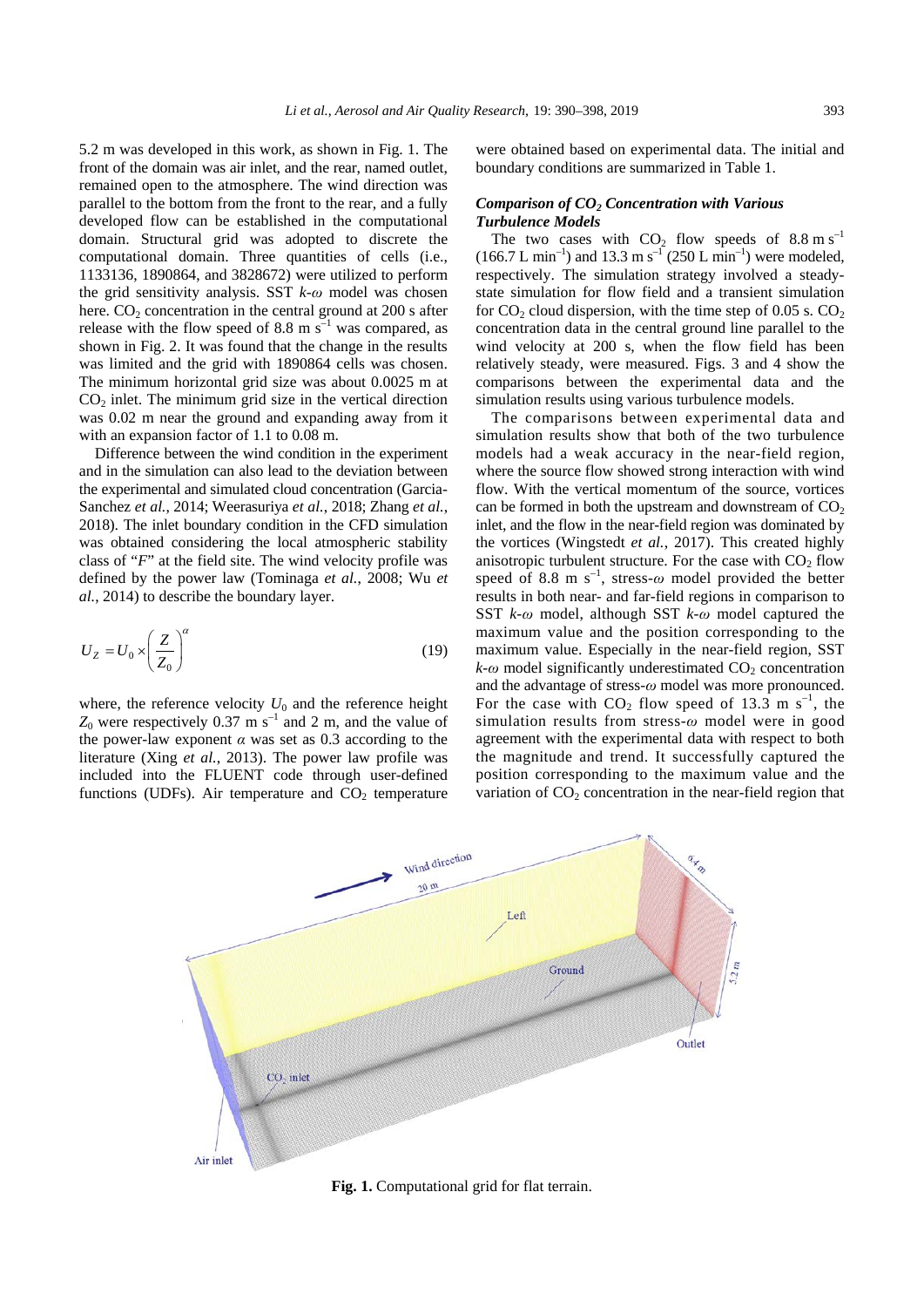5.2 m was developed in this work, as shown in Fig. 1. The front of the domain was air inlet, and the rear, named outlet, remained open to the atmosphere. The wind direction was parallel to the bottom from the front to the rear, and a fully developed flow can be established in the computational domain. Structural grid was adopted to discrete the computational domain. Three quantities of cells (i.e., 1133136, 1890864, and 3828672) were utilized to perform the grid sensitivity analysis. SST *k*-*ω* model was chosen here.  $CO<sub>2</sub>$  concentration in the central ground at 200 s after release with the flow speed of 8.8 m  $\bar{s}^{-1}$  was compared, as shown in Fig. 2. It was found that the change in the results was limited and the grid with 1890864 cells was chosen. The minimum horizontal grid size was about 0.0025 m at  $CO<sub>2</sub>$  inlet. The minimum grid size in the vertical direction was 0.02 m near the ground and expanding away from it with an expansion factor of 1.1 to 0.08 m.

Difference between the wind condition in the experiment and in the simulation can also lead to the deviation between the experimental and simulated cloud concentration (Garcia-Sanchez *et al.*, 2014; Weerasuriya *et al.*, 2018; Zhang *et al.*, 2018). The inlet boundary condition in the CFD simulation was obtained considering the local atmospheric stability class of "*F*" at the field site. The wind velocity profile was defined by the power law (Tominaga *et al.*, 2008; Wu *et al.*, 2014) to describe the boundary layer.

$$
U_Z = U_0 \times \left(\frac{Z}{Z_0}\right)^\alpha \tag{19}
$$

where, the reference velocity  $U_0$  and the reference height  $Z_0$  were respectively 0.37 m s<sup>-1</sup> and 2 m, and the value of the power-law exponent *α* was set as 0.3 according to the literature (Xing *et al.*, 2013). The power law profile was included into the FLUENT code through user-defined functions (UDFs). Air temperature and  $CO<sub>2</sub>$  temperature were obtained based on experimental data. The initial and boundary conditions are summarized in Table 1.

## *Comparison of CO2 Concentration with Various Turbulence Models*

The two cases with  $CO_2$  flow speeds of  $8.8 \text{ m s}^{-1}$  $(166.7 L min^{-1})$  and 13.3 m s<sup>-1</sup> (250 L min<sup>-1</sup>) were modeled, respectively. The simulation strategy involved a steadystate simulation for flow field and a transient simulation for  $CO_2$  cloud dispersion, with the time step of 0.05 s.  $CO_2$ concentration data in the central ground line parallel to the wind velocity at 200 s, when the flow field has been relatively steady, were measured. Figs. 3 and 4 show the comparisons between the experimental data and the simulation results using various turbulence models.

The comparisons between experimental data and simulation results show that both of the two turbulence models had a weak accuracy in the near-field region, where the source flow showed strong interaction with wind flow. With the vertical momentum of the source, vortices can be formed in both the upstream and downstream of  $CO<sub>2</sub>$ inlet, and the flow in the near-field region was dominated by the vortices (Wingstedt *et al.*, 2017). This created highly anisotropic turbulent structure. For the case with  $CO<sub>2</sub>$  flow speed of 8.8 m s<sup>-1</sup>, stress- $\omega$  model provided the better results in both near- and far-field regions in comparison to SST *k*-*ω* model, although SST *k*-*ω* model captured the maximum value and the position corresponding to the maximum value. Especially in the near-field region, SST  $k$ - $\omega$  model significantly underestimated  $CO_2$  concentration and the advantage of stress-*ω* model was more pronounced. For the case with  $CO_2$  flow speed of 13.3 m s<sup>-1</sup>, the simulation results from stress-*ω* model were in good agreement with the experimental data with respect to both the magnitude and trend. It successfully captured the position corresponding to the maximum value and the variation of  $CO<sub>2</sub>$  concentration in the near-field region that



**Fig. 1.** Computational grid for flat terrain.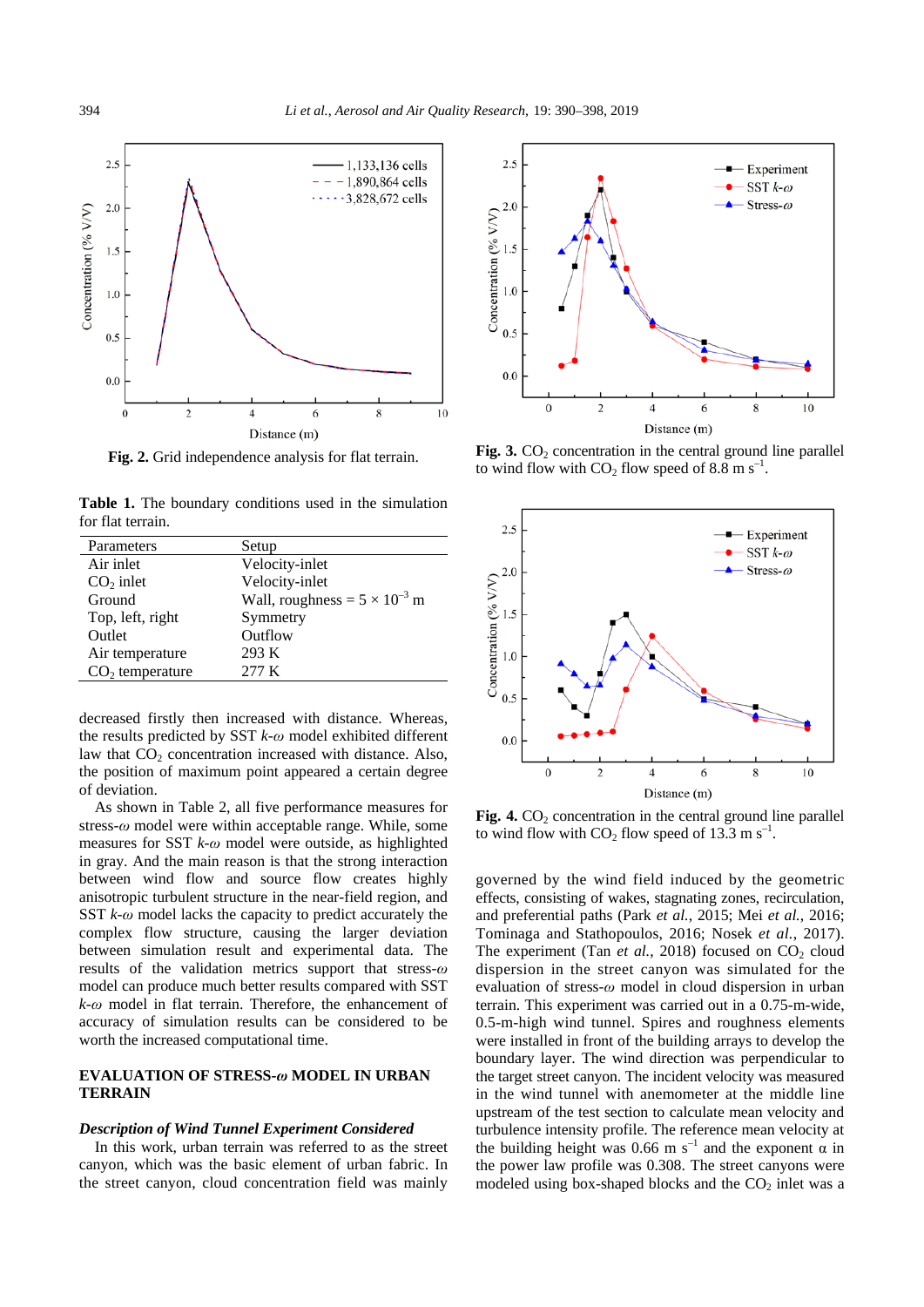

**Fig. 2.** Grid independence analysis for flat terrain.

Table 1. The boundary conditions used in the simulation for flat terrain.

| Parameters        | Setup                                  |
|-------------------|----------------------------------------|
| Air inlet         | Velocity-inlet                         |
| $CO2$ inlet       | Velocity-inlet                         |
| Ground            | Wall, roughness = $5 \times 10^{-3}$ m |
| Top, left, right  | Symmetry                               |
| Outlet            | Outflow                                |
| Air temperature   | 293 K                                  |
| $CO2$ temperature | 277 K                                  |

decreased firstly then increased with distance. Whereas, the results predicted by SST *k*-*ω* model exhibited different law that  $CO<sub>2</sub>$  concentration increased with distance. Also, the position of maximum point appeared a certain degree of deviation.

As shown in Table 2, all five performance measures for stress-*ω* model were within acceptable range. While, some measures for SST *k*-*ω* model were outside, as highlighted in gray. And the main reason is that the strong interaction between wind flow and source flow creates highly anisotropic turbulent structure in the near-field region, and SST *k*-*ω* model lacks the capacity to predict accurately the complex flow structure, causing the larger deviation between simulation result and experimental data. The results of the validation metrics support that stress-*ω* model can produce much better results compared with SST *k*-*ω* model in flat terrain. Therefore, the enhancement of accuracy of simulation results can be considered to be worth the increased computational time.

# **EVALUATION OF STRESS-***ω* **MODEL IN URBAN TERRAIN**

## *Description of Wind Tunnel Experiment Considered*

In this work, urban terrain was referred to as the street canyon, which was the basic element of urban fabric. In the street canyon, cloud concentration field was mainly



Fig. 3.  $CO<sub>2</sub>$  concentration in the central ground line parallel to wind flow with  $CO_2$  flow speed of 8.8 m s<sup>-1</sup>.



**Fig. 4.**  $CO<sub>2</sub>$  concentration in the central ground line parallel to wind flow with  $CO_2$  flow speed of 13.3 m s<sup>-1</sup>.

governed by the wind field induced by the geometric effects, consisting of wakes, stagnating zones, recirculation, and preferential paths (Park *et al.*, 2015; Mei *et al.*, 2016; Tominaga and Stathopoulos, 2016; Nosek *et al.*, 2017). The experiment (Tan *et al.*, 2018) focused on  $CO<sub>2</sub>$  cloud dispersion in the street canyon was simulated for the evaluation of stress-*ω* model in cloud dispersion in urban terrain. This experiment was carried out in a 0.75-m-wide, 0.5-m-high wind tunnel. Spires and roughness elements were installed in front of the building arrays to develop the boundary layer. The wind direction was perpendicular to the target street canyon. The incident velocity was measured in the wind tunnel with anemometer at the middle line upstream of the test section to calculate mean velocity and turbulence intensity profile. The reference mean velocity at the building height was 0.66 m s<sup>-1</sup> and the exponent  $\alpha$  in the power law profile was 0.308. The street canyons were modeled using box-shaped blocks and the  $CO<sub>2</sub>$  inlet was a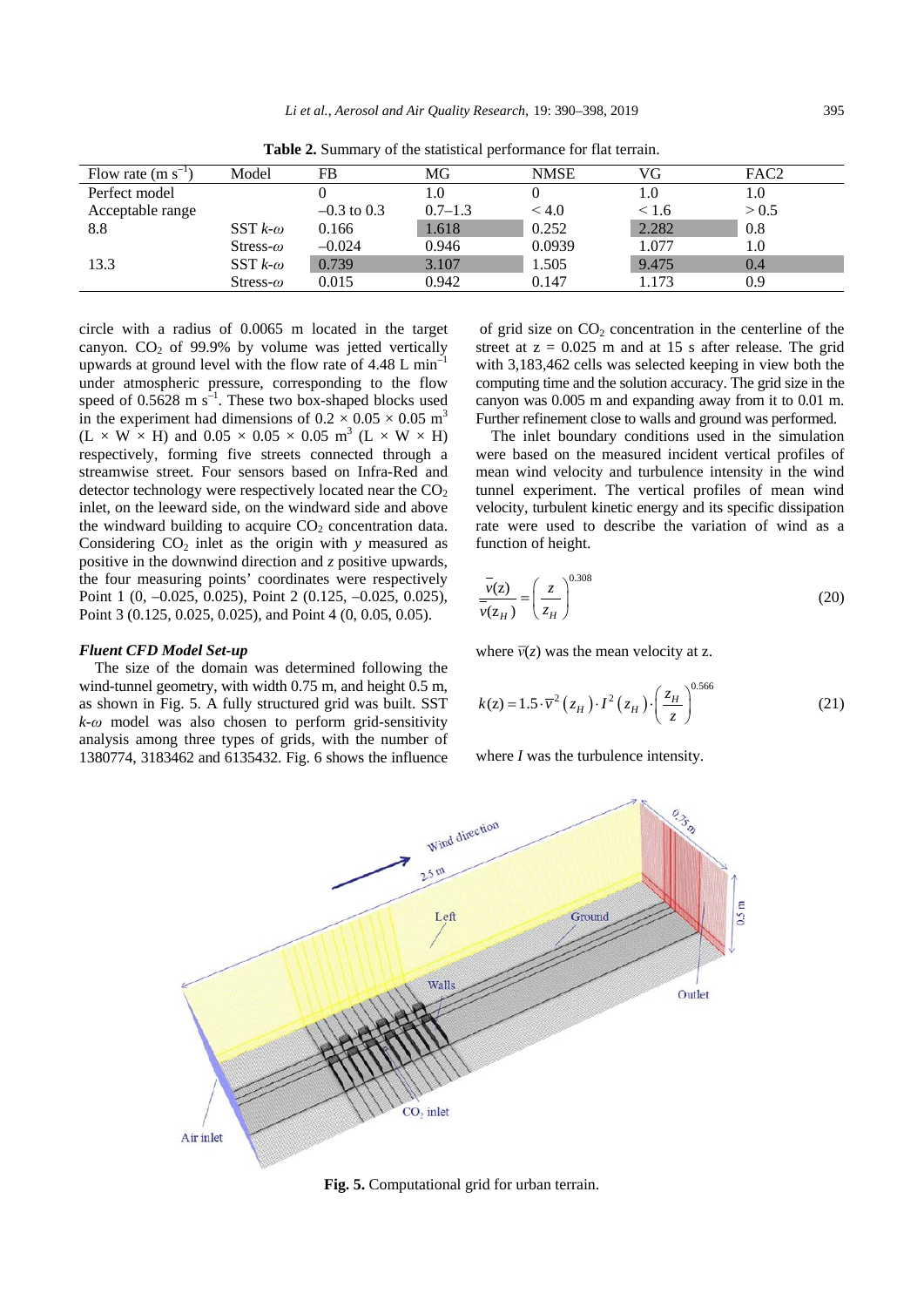| Flow rate $(m s^{-1})$ | Model              | FB            | MG          | <b>NMSE</b> | VG    | FAC <sub>2</sub> |
|------------------------|--------------------|---------------|-------------|-------------|-------|------------------|
| Perfect model          |                    |               | 1.0         |             | 1.0   | 1.0              |
| Acceptable range       |                    | $-0.3$ to 0.3 | $0.7 - 1.3$ | < 4.0       | < 1.6 | > 0.5            |
| 8.8                    | SST $k$ - $\omega$ | 0.166         | 1.618       | 0.252       | 2.282 | 0.8              |
|                        | Stress- $\omega$   | $-0.024$      | 0.946       | 0.0939      | 1.077 | 1.0              |
| 13.3                   | SST $k-\omega$     | 0.739         | 3.107       | 1.505       | 9.475 | 0.4              |
|                        | Stress- $\omega$   | 0.015         | 0.942       | 0.147       | 1.173 | 0.9              |

**Table 2.** Summary of the statistical performance for flat terrain.

circle with a radius of 0.0065 m located in the target canyon.  $CO<sub>2</sub>$  of 99.9% by volume was jetted vertically upwards at ground level with the flow rate of 4.48 L min–1 under atmospheric pressure, corresponding to the flow speed of  $0.5628 \text{ m s}^{-1}$ . These two box-shaped blocks used in the experiment had dimensions of  $0.2 \times 0.05 \times 0.05$  m<sup>3</sup>  $(L \times W \times H)$  and  $0.05 \times 0.05 \times 0.05$  m<sup>3</sup>  $(L \times W \times H)$ respectively, forming five streets connected through a streamwise street. Four sensors based on Infra-Red and detector technology were respectively located near the  $CO<sub>2</sub>$ inlet, on the leeward side, on the windward side and above the windward building to acquire  $CO<sub>2</sub>$  concentration data. Considering  $CO<sub>2</sub>$  inlet as the origin with  $\gamma$  measured as positive in the downwind direction and *z* positive upwards, the four measuring points' coordinates were respectively Point 1 (0, –0.025, 0.025), Point 2 (0.125, –0.025, 0.025), Point 3 (0.125, 0.025, 0.025), and Point 4 (0, 0.05, 0.05).

#### *Fluent CFD Model Set-up*

The size of the domain was determined following the wind-tunnel geometry, with width 0.75 m, and height 0.5 m, as shown in Fig. 5. A fully structured grid was built. SST *k*-*ω* model was also chosen to perform grid-sensitivity analysis among three types of grids, with the number of 1380774, 3183462 and 6135432. Fig. 6 shows the influence

of grid size on  $CO<sub>2</sub>$  concentration in the centerline of the street at  $z = 0.025$  m and at 15 s after release. The grid with 3,183,462 cells was selected keeping in view both the computing time and the solution accuracy. The grid size in the canyon was 0.005 m and expanding away from it to 0.01 m. Further refinement close to walls and ground was performed.

The inlet boundary conditions used in the simulation were based on the measured incident vertical profiles of mean wind velocity and turbulence intensity in the wind tunnel experiment. The vertical profiles of mean wind velocity, turbulent kinetic energy and its specific dissipation rate were used to describe the variation of wind as a function of height.

$$
\frac{\overline{v}(z)}{\overline{v}(z_H)} = \left(\frac{z}{z_H}\right)^{0.308}
$$
\n(20)

where  $\bar{v}(z)$  was the mean velocity at z.

$$
k(z) = 1.5 \cdot \overline{v}^2 \left( z_H \right) \cdot I^2 \left( z_H \right) \cdot \left( \frac{z_H}{z} \right)^{0.566} \tag{21}
$$

where *I* was the turbulence intensity.



**Fig. 5.** Computational grid for urban terrain.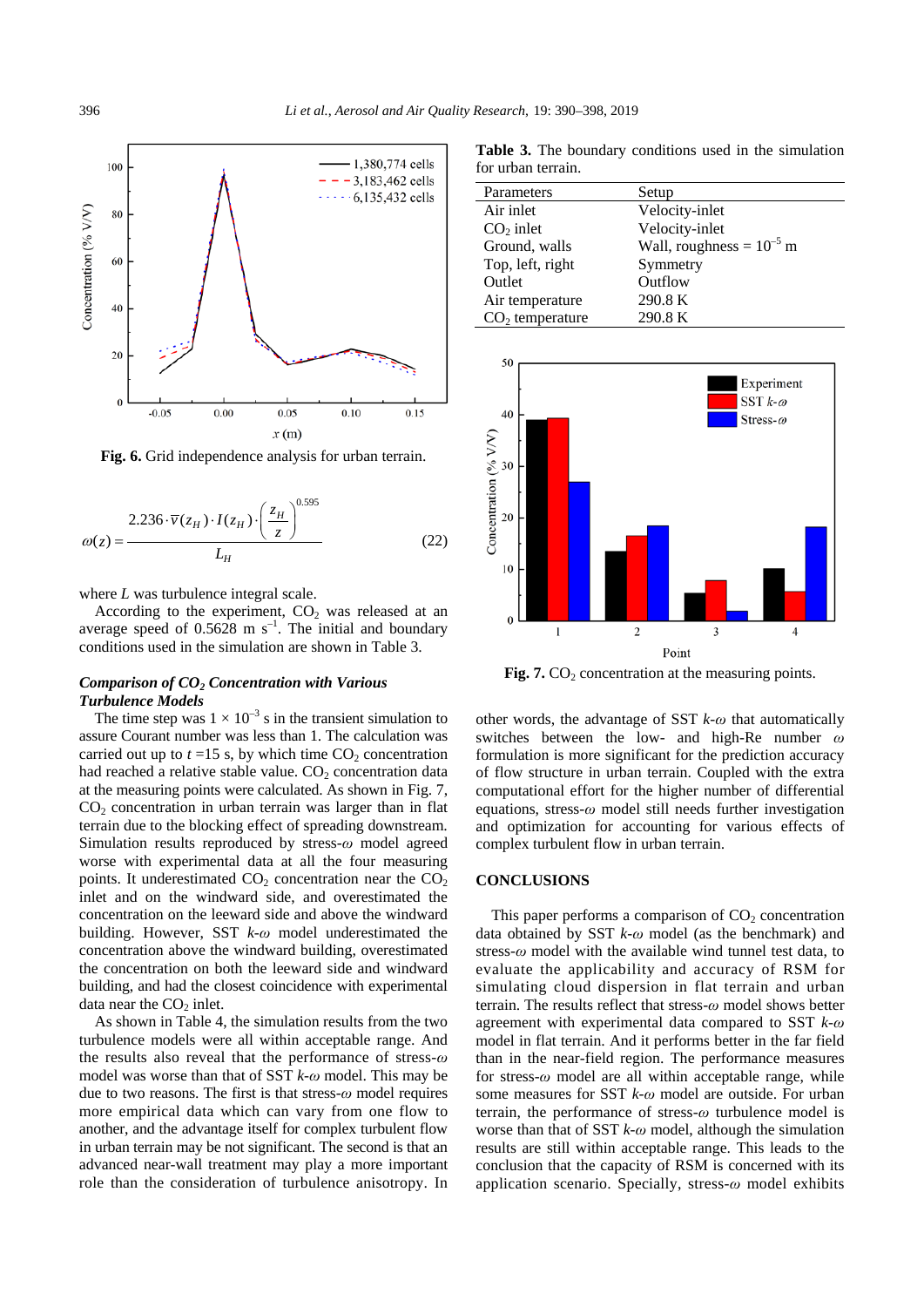

**Fig. 6.** Grid independence analysis for urban terrain.

$$
\omega(z) = \frac{2.236 \cdot \overline{v}(z_H) \cdot I(z_H) \cdot \left(\frac{z_H}{z}\right)^{0.595}}{L_H}
$$
(22)

where *L* was turbulence integral scale.

According to the experiment,  $CO<sub>2</sub>$  was released at an average speed of  $0.5628$  m s<sup>-1</sup>. The initial and boundary conditions used in the simulation are shown in Table 3.

## *Comparison of CO2 Concentration with Various Turbulence Models*

The time step was  $1 \times 10^{-3}$  s in the transient simulation to assure Courant number was less than 1. The calculation was carried out up to  $t = 15$  s, by which time  $CO<sub>2</sub>$  concentration had reached a relative stable value.  $CO<sub>2</sub>$  concentration data at the measuring points were calculated. As shown in Fig. 7,  $CO<sub>2</sub>$  concentration in urban terrain was larger than in flat terrain due to the blocking effect of spreading downstream. Simulation results reproduced by stress-*ω* model agreed worse with experimental data at all the four measuring points. It underestimated  $CO<sub>2</sub>$  concentration near the  $CO<sub>2</sub>$ inlet and on the windward side, and overestimated the concentration on the leeward side and above the windward building. However, SST *k*-*ω* model underestimated the concentration above the windward building, overestimated the concentration on both the leeward side and windward building, and had the closest coincidence with experimental data near the  $CO<sub>2</sub>$  inlet.

As shown in Table 4, the simulation results from the two turbulence models were all within acceptable range. And the results also reveal that the performance of stress-*ω* model was worse than that of SST *k*-*ω* model. This may be due to two reasons. The first is that stress-*ω* model requires more empirical data which can vary from one flow to another, and the advantage itself for complex turbulent flow in urban terrain may be not significant. The second is that an advanced near-wall treatment may play a more important role than the consideration of turbulence anisotropy. In

**Table 3.** The boundary conditions used in the simulation for urban terrain.

| Parameters        | Setup                         |
|-------------------|-------------------------------|
| Air inlet         | Velocity-inlet                |
| $CO2$ inlet       | Velocity-inlet                |
| Ground, walls     | Wall, roughness = $10^{-5}$ m |
| Top, left, right  | Symmetry                      |
| Outlet            | Outflow                       |
| Air temperature   | 290.8 K                       |
| $CO2$ temperature | 290.8 K                       |



**Fig. 7.**  $CO<sub>2</sub>$  concentration at the measuring points.

other words, the advantage of SST *k*-*ω* that automatically switches between the low- and high-Re number *ω* formulation is more significant for the prediction accuracy of flow structure in urban terrain. Coupled with the extra computational effort for the higher number of differential equations, stress-*ω* model still needs further investigation and optimization for accounting for various effects of complex turbulent flow in urban terrain.

#### **CONCLUSIONS**

This paper performs a comparison of  $CO<sub>2</sub>$  concentration data obtained by SST *k*-*ω* model (as the benchmark) and stress-*ω* model with the available wind tunnel test data, to evaluate the applicability and accuracy of RSM for simulating cloud dispersion in flat terrain and urban terrain. The results reflect that stress-*ω* model shows better agreement with experimental data compared to SST *k*-*ω* model in flat terrain. And it performs better in the far field than in the near-field region. The performance measures for stress-*ω* model are all within acceptable range, while some measures for SST *k*-*ω* model are outside. For urban terrain, the performance of stress-*ω* turbulence model is worse than that of SST *k*-*ω* model, although the simulation results are still within acceptable range. This leads to the conclusion that the capacity of RSM is concerned with its application scenario. Specially, stress-*ω* model exhibits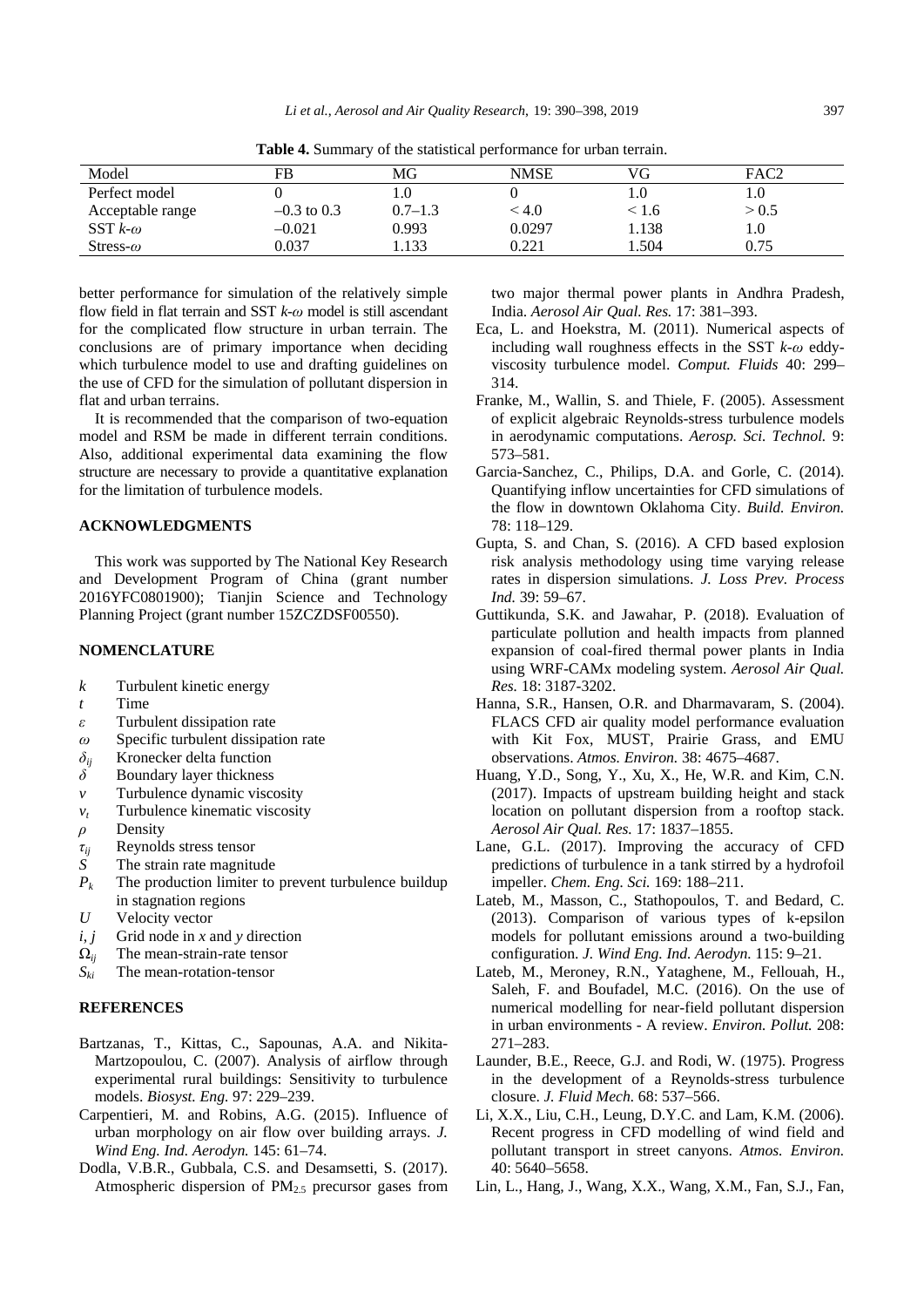| Model            | FB            | MG          | <b>NMSE</b>  | VG         | FAC2  |
|------------------|---------------|-------------|--------------|------------|-------|
| Perfect model    |               |             |              |            | 1.0   |
| Acceptable range | $-0.3$ to 0.3 | $0.7 - 1.3$ | $<$ 4.0 $\,$ | $\leq 1.6$ | > 0.5 |
| SST $k-\omega$   | $-0.021$      | 0.993       | 0.0297       | 1.138      | 1.0   |
| Stress- $\omega$ | 0.037         | .133        | 0.221        | . . 504    | 0.75  |

**Table 4.** Summary of the statistical performance for urban terrain.

better performance for simulation of the relatively simple flow field in flat terrain and SST *k*-*ω* model is still ascendant for the complicated flow structure in urban terrain. The conclusions are of primary importance when deciding which turbulence model to use and drafting guidelines on the use of CFD for the simulation of pollutant dispersion in flat and urban terrains.

It is recommended that the comparison of two-equation model and RSM be made in different terrain conditions. Also, additional experimental data examining the flow structure are necessary to provide a quantitative explanation for the limitation of turbulence models.

## **ACKNOWLEDGMENTS**

This work was supported by The National Key Research and Development Program of China (grant number 2016YFC0801900); Tianjin Science and Technology Planning Project (grant number 15ZCZDSF00550).

#### **NOMENCLATURE**

- *k* Turbulent kinetic energy
- *t* Time
- *ε* Turbulent dissipation rate
- *ω* Specific turbulent dissipation rate
- *δij* Kronecker delta function
- *δ* Boundary layer thickness
- *v* Turbulence dynamic viscosity
- *vt* Turbulence kinematic viscosity
- *ρ* Density
- *τij* Reynolds stress tensor
- The strain rate magnitude
- *Pk* The production limiter to prevent turbulence buildup in stagnation regions
- *U* Velocity vector
- $i, j$  Grid node in *x* and *y* direction
- $\Omega_{ii}$  The mean-strain-rate tensor
- *Ski* The mean-rotation-tensor

## **REFERENCES**

- Bartzanas, T., Kittas, C., Sapounas, A.A. and Nikita-Martzopoulou, C. (2007). Analysis of airflow through experimental rural buildings: Sensitivity to turbulence models. *Biosyst. Eng.* 97: 229–239.
- Carpentieri, M. and Robins, A.G. (2015). Influence of urban morphology on air flow over building arrays. *J. Wind Eng. Ind. Aerodyn.* 145: 61–74.
- Dodla, V.B.R., Gubbala, C.S. and Desamsetti, S. (2017). Atmospheric dispersion of  $PM_{2.5}$  precursor gases from

two major thermal power plants in Andhra Pradesh, India. *Aerosol Air Qual. Res.* 17: 381–393.

- Eca, L. and Hoekstra, M. (2011). Numerical aspects of including wall roughness effects in the SST *k*-*ω* eddyviscosity turbulence model. *Comput. Fluids* 40: 299– 314.
- Franke, M., Wallin, S. and Thiele, F. (2005). Assessment of explicit algebraic Reynolds-stress turbulence models in aerodynamic computations. *Aerosp. Sci. Technol.* 9: 573–581.
- Garcia-Sanchez, C., Philips, D.A. and Gorle, C. (2014). Quantifying inflow uncertainties for CFD simulations of the flow in downtown Oklahoma City. *Build. Environ.* 78: 118–129.
- Gupta, S. and Chan, S. (2016). A CFD based explosion risk analysis methodology using time varying release rates in dispersion simulations. *J. Loss Prev. Process Ind.* 39: 59–67.
- Guttikunda, S.K. and Jawahar, P. (2018). Evaluation of particulate pollution and health impacts from planned expansion of coal-fired thermal power plants in India using WRF-CAMx modeling system. *Aerosol Air Qual. Res.* 18: 3187-3202.
- Hanna, S.R., Hansen, O.R. and Dharmavaram, S. (2004). FLACS CFD air quality model performance evaluation with Kit Fox, MUST, Prairie Grass, and EMU observations. *Atmos. Environ.* 38: 4675–4687.
- Huang, Y.D., Song, Y., Xu, X., He, W.R. and Kim, C.N. (2017). Impacts of upstream building height and stack location on pollutant dispersion from a rooftop stack. *Aerosol Air Qual. Res.* 17: 1837–1855.
- Lane, G.L. (2017). Improving the accuracy of CFD predictions of turbulence in a tank stirred by a hydrofoil impeller. *Chem. Eng. Sci.* 169: 188–211.
- Lateb, M., Masson, C., Stathopoulos, T. and Bedard, C. (2013). Comparison of various types of k-epsilon models for pollutant emissions around a two-building configuration. *J. Wind Eng. Ind. Aerodyn.* 115: 9–21.
- Lateb, M., Meroney, R.N., Yataghene, M., Fellouah, H., Saleh, F. and Boufadel, M.C. (2016). On the use of numerical modelling for near-field pollutant dispersion in urban environments - A review. *Environ. Pollut.* 208: 271–283.
- Launder, B.E., Reece, G.J. and Rodi, W. (1975). Progress in the development of a Reynolds-stress turbulence closure. *J. Fluid Mech.* 68: 537–566.
- Li, X.X., Liu, C.H., Leung, D.Y.C. and Lam, K.M. (2006). Recent progress in CFD modelling of wind field and pollutant transport in street canyons. *Atmos. Environ.* 40: 5640–5658.
- Lin, L., Hang, J., Wang, X.X., Wang, X.M., Fan, S.J., Fan,